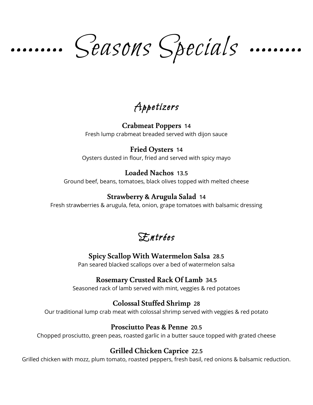Seasons Specials

Appetizers

**Crabmeat Poppers 14** Fresh lump crabmeat breaded served with dijon sauce

#### **Fried Oysters 14**

Oysters dusted in flour, fried and served with spicy mayo

#### **Loaded Nachos 13.5**

Ground beef, beans, tomatoes, black olives topped with melted cheese

#### **Strawberry & Arugula Salad 14**

Fresh strawberries & arugula, feta, onion, grape tomatoes with balsamic dressing



### **Spicy Scallop With Watermelon Salsa 28.5**

Pan seared blacked scallops over a bed of watermelon salsa

#### **Rosemary Crusted Rack Of Lamb 34.5**

Seasoned rack of lamb served with mint, veggies & red potatoes

### **Colossal Stuffed Shrimp 28**

Our traditional lump crab meat with colossal shrimp served with veggies & red potato

#### **Prosciutto Peas & Penne 20.5**

Chopped prosciutto, green peas, roasted garlic in a butter sauce topped with grated cheese

### **Grilled Chicken Caprice 22.5**

Grilled chicken with mozz, plum tomato, roasted peppers, fresh basil, red onions & balsamic reduction.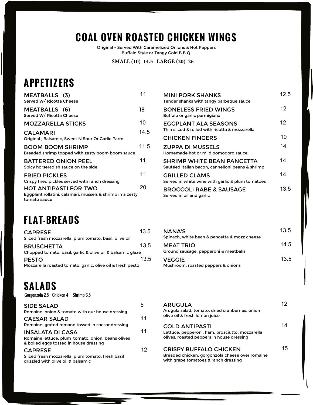# **COAL OVEN ROASTED CHICKEN WINGS**

Original - Served With Caramelized Onions & Hot Peppers Buffalo Style or Tangy Gold B.B.Q

**SMALL (10) 14.5 LARGE (20) 26**

# **APPETIZERS**

| <b>MEATBALLS</b> (3)<br>Served W/ Ricotta Cheese                                                          | 11   | <b>MINI PORK SHANKS</b><br>Tender shanks with tangy barbeque sauce                |
|-----------------------------------------------------------------------------------------------------------|------|-----------------------------------------------------------------------------------|
| <b>MEATBALLS</b> (6)<br>Served W/ Ricotta Cheese                                                          | 18   | <b>BONELESS FRIED WINGS</b><br>Buffalo or garlic parmigiana                       |
| <b>MOZZARELLA STICKS</b>                                                                                  | 10   | <b>EGGPLANT ALA SEASONS</b>                                                       |
| <b>CALAMARI</b>                                                                                           | 14.5 | Thin sliced & rolled with ricotta & mozzarella                                    |
| Original, Balsamic, Sweet N Sour Or Garlic Parm                                                           |      | <b>CHICKEN FINGERS</b>                                                            |
| <b>BOOM BOOM SHRIMP</b><br>Breaded shrimp topped with zesty boom boom sauce                               | 11.5 | <b>ZUPPA DI MUSSELS</b><br>Homemade hot or mild pomodoro sauce                    |
| <b>BATTERED ONION PEEL</b><br>Spicy horseradish sauce on the side                                         | 11   | <b>SHRIMP WHITE BEAN PANCETTA</b><br>Sautéed italian bacon, cannelloni beans & sh |
| <b>FRIED PICKLES</b><br>Crispy fried pickles served with ranch dressing                                   | 11   | <b>GRILLED CLAMS</b><br>Served in white wine with garlic & plum tome              |
| <b>HOT ANTIPASTI FOR TWO</b><br>Eggplant rollatini, calamari, mussels & shrimp in a zesty<br>tomato sauce | 20   | <b>BROCCOLI RABE &amp; SAUSAGE</b><br>Served in oil and garlic                    |

**FLAT-BREADS**

| <b>CAPRESE</b>                                             | 13.5 |
|------------------------------------------------------------|------|
| Sliced fresh mozzarella, plum tomato, basil, olive oil     |      |
| <b>BRUSCHETTA</b>                                          | 13.5 |
| Chopped tomato, basil, garlic & olive oil & balsamic glaze |      |
| <b>PESTO</b>                                               | 13.5 |
| Mozzarella roasted tomato, garlic, olive oil & fresh pesto |      |

# **SALADS**

| <b>SIDE SALAD</b>                                                                           | 5  | <b>ARUGULA</b>                                          |
|---------------------------------------------------------------------------------------------|----|---------------------------------------------------------|
| Romaine, onion & tomato with our house dressing                                             |    | Arugula salad, tomato, dried                            |
| <b>CAESAR SALAD</b>                                                                         | 11 | olive oil & fresh lemon juice                           |
| Romaine, grated romano tossed in caesar dressing                                            |    | <b>COLD ANTIPASTI</b>                                   |
| <b>INSALATA DI CASA</b>                                                                     | 11 | Lettuce, pepperoni, ham, pr                             |
| Romaine lettuce, plum tomato, onion, beans olives<br>& boiled eggs tossed in house dressing |    | olives, roasted peppers in he                           |
| <b>CAPRESE</b>                                                                              | 12 | <b>CRISPY BUFFALO CH</b>                                |
| Sliced fresh mozzarella, plum tomato, fresh basil<br>drizzled with olive oil & balsamic     |    | Breaded chicken, gorgonzo<br>with grape tomatoes & ranc |
|                                                                                             |    |                                                         |

| <b>MEATBALLS</b> (3)<br>Served W/ Ricotta Cheese                                   | 11   | <b>MINI PORK SHANKS</b><br>Tender shanks with tangy barbeque sauce                    | 12.5 |
|------------------------------------------------------------------------------------|------|---------------------------------------------------------------------------------------|------|
| <b>MEATBALLS</b> (6)<br>Served W/ Ricotta Cheese                                   | 18   | <b>BONELESS FRIED WINGS</b><br>Buffalo or garlic parmigiana                           | 12   |
| <b>MOZZARELLA STICKS</b>                                                           | 10   | <b>EGGPLANT ALA SEASONS</b>                                                           | 12   |
| <b>CALAMARI</b>                                                                    | 14.5 | Thin sliced & rolled with ricotta & mozzarella                                        |      |
| Original, Balsamic, Sweet N Sour Or Garlic Parm                                    |      | <b>CHICKEN FINGERS</b>                                                                | 10   |
| <b>BOOM BOOM SHRIMP</b><br>Breaded shrimp topped with zesty boom boom sauce        | 11.5 | <b>ZUPPA DI MUSSELS</b><br>Homemade hot or mild pomodoro sauce                        | 14   |
| BATTERED ONION PEEL<br>Spicy horseradish sauce on the side                         | 11   | <b>SHRIMP WHITE BEAN PANCETTA</b><br>Sautéed italian bacon, cannelloni beans & shrimp | 14   |
| <b>FRIED PICKLES</b><br>Crispy fried pickles served with ranch dressing            | 11   | <b>GRILLED CLAMS</b><br>Served in white wine with garlic & plum tomatoes              | 14   |
| HOT ANTIPASTI FOR TWO<br>Eggplant rollatini, calamari, mussels & shrimp in a zesty | 20   | <b>BROCCOLI RABE &amp; SAUSAGE</b><br>Served in oil and garlic                        | 13.5 |

| <b>NANA'S</b><br>Spinach, white bean & pancetta & mozz cheese | 13.5 |
|---------------------------------------------------------------|------|
| <b>MEAT TRIO</b><br>Ground sausage, pepperoni & meatballs     | 14.5 |
| <b>VEGGIE</b><br>Mushroom, roasted peppers & onions           | 13.5 |

| <b>SIDE SALAD</b><br>Romaine, onion & tomato with our house dressing                                                   | 5  | <b>ARUGULA</b><br>Arugula salad, tomato, dried cranberries, onion                                                        | 12. |
|------------------------------------------------------------------------------------------------------------------------|----|--------------------------------------------------------------------------------------------------------------------------|-----|
| <b>CAESAR SALAD</b>                                                                                                    | 11 | olive oil & fresh lemon juice                                                                                            |     |
| Romaine, grated romano tossed in caesar dressing                                                                       |    | <b>COLD ANTIPASTI</b>                                                                                                    | 14  |
| <b>INSALATA DI CASA</b><br>Romaine lettuce, plum tomato, onion, beans olives<br>& boiled eggs tossed in house dressing | 11 | Lettuce, pepperoni, ham, prosciutto, mozzarella<br>olives, roasted peppers in house dressing                             |     |
| <b>CAPRESE</b><br>Sliced fresh mozzarella, plum tomato, fresh basil<br>drizzled with olive oil & balsamic              | 12 | <b>CRISPY BUFFALO CHICKEN</b><br>Breaded chicken, gorgonzola cheese over romaine<br>with grape tomatoes & ranch dressing | 15  |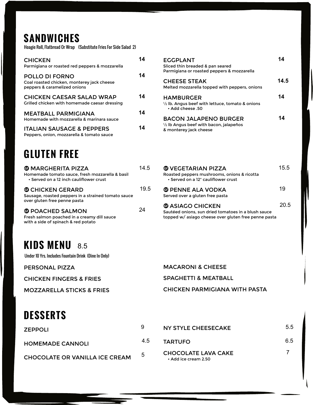# **SANDWICHES**

Hoagie Roll, Flatbread Or Wrap (Substitute Fries For Side Salad 2)

| <b>CHICKEN</b><br>Parmigiana or roasted red peppers & mozzarella                             | 14 | <b>EGGPLANT</b><br>Sliced thin breaded & pa<br>Parmigiana or roasted p |
|----------------------------------------------------------------------------------------------|----|------------------------------------------------------------------------|
| POLLO DI FORNO<br>Coal roasted chicken, monterey jack cheese<br>peppers & caramelized onions | 14 | <b>CHEESE STEAK</b><br>Melted mozzarella toppe                         |
| <b>CHICKEN CAESAR SALAD WRAP</b><br>Grilled chicken with homemade caesar dressing            | 14 | <b>HAMBURGER</b><br>1/2 lb. Angus beef with le<br>• Add cheese .50     |
| <b>MEATBALL PARMIGIANA</b><br>Homemade with mozzarella & marinara sauce                      | 14 | <b>BACON JALAPEN</b>                                                   |
| <b>ITALIAN SAUSAGE &amp; PEPPERS</b><br>Peppers, onion, mozzarella & tomato sauce            | 14 | $\frac{1}{2}$ lb Angus beef with ba<br>& monterey jack cheese          |

# **GLUTEN FREE**

| <b>@ MARGHERITA PIZZA</b><br>Homemade tomato sauce, fresh mozzarella & basil<br>• Served on a 12 inch cauliflower crust | 14.5 |
|-------------------------------------------------------------------------------------------------------------------------|------|
| <b>THICKEN GERARD</b><br>Sausage, roasted peppers in a strained tomato sauce<br>over gluten free penne pasta            | 19.5 |
| <b>© POACHED SALMON</b><br>Fresh salmon poached in a creamy dill sauce<br>with a side of spinach & red potato           | 24   |

# **KIDS MENU** 8.5

Under 10 Yrs. Includes Fountain Drink (Dine In Only)

| <b>CHICKEN</b>                                 | 14 | <b>EGGPLANT</b>                                                                | 14   |
|------------------------------------------------|----|--------------------------------------------------------------------------------|------|
| Parmigiana or roasted red peppers & mozzarella |    | Sliced thin breaded & pan seared                                               |      |
|                                                |    | Parmigiana or roasted peppers & mozzarella                                     |      |
| POLLO DI FORNO                                 | 14 |                                                                                | 14.5 |
| Coal roasted chicken, monterey jack cheese     |    | <b>CHEESE STEAK</b>                                                            |      |
| peppers & caramelized onions                   |    | Melted mozzarella topped with peppers, onions                                  |      |
| <b>CHICKEN CAESAR SALAD WRAP</b>               | 14 | <b>HAMBURGER</b>                                                               | 14   |
| Grilled chicken with homemade caesar dressing  |    | $\frac{1}{2}$ lb. Angus beef with lettuce, tomato & onions<br>. Add cheese .50 |      |
| <b>MEATBALL PARMIGIANA</b>                     | 14 |                                                                                |      |
| Homemade with mozzarella & marinara sauce      |    | <b>BACON JALAPENO BURGER</b>                                                   | 14   |
|                                                |    | $\frac{1}{2}$ lb Angus beef with bacon, jalapeños                              |      |
| <b>ITALIAN SAUSAGE &amp; PEPPERS</b>           | 14 | & monterey jack cheese                                                         |      |

| <b>© VEGETARIAN PIZZA</b><br>Roasted peppers mushrooms, onions & ricotta<br>• Served on a 12" cauliflower crust                        | 15.5 |
|----------------------------------------------------------------------------------------------------------------------------------------|------|
| <b>© PENNE ALA VODKA</b><br>Served over a gluten free pasta                                                                            | 19   |
| <b>@ ASIAGO CHICKEN</b><br>Sautéed onions, sun dried tomatoes in a blush sauce<br>topped w/ asiago cheese over gluten free penne pasta | 20.5 |

PERSONAL PIZZA MACARONI & CHEESE CHICKEN FINGERS & FRIES SPAGHETTI & MEATBALL MOZZARELLA STICKS & FRIES CHICKEN PARMIGIANA WITH PASTA

| <b>DESSERTS</b>                       |     |                                                    |     |
|---------------------------------------|-----|----------------------------------------------------|-----|
| ZEPPOLI                               | 9   | NY STYLE CHEESECAKE                                | 5.5 |
| <b>HOMEMADE CANNOLI</b>               | 4.5 | <b>TARTUFO</b>                                     | 6.5 |
| <b>CHOCOLATE OR VANILLA ICE CREAM</b> | 5   | <b>CHOCOLATE LAVA CAKE</b><br>• Add ice cream 2.50 |     |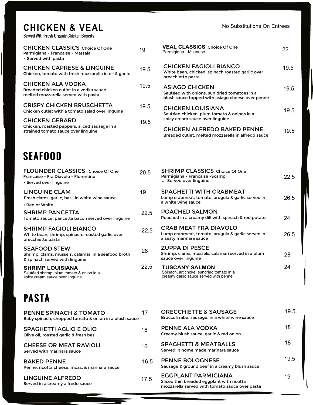## **CHICKEN & VEAL**

Served With Fresh Organic Chicken Breasts

| <b>CHICKEN CLASSICS</b> Choice Of One<br>Parmigiana - Francaise - Marsala<br>• Served with pasta              | 19   |
|---------------------------------------------------------------------------------------------------------------|------|
| <b>CHICKEN CAPRESE &amp; LINGUINE</b><br>Chicken, tomato with fresh mozzarella in oil & garlic                | 19.5 |
| <b>CHICKEN ALA VODKA</b><br>Breaded chicken cutlet in a vodka sauce<br>melted mozzarella served with pasta    | 19.5 |
| <b>CRISPY CHICKEN BRUSCHETTA</b><br>Chicken cutlet with a tomato salad over linguine                          | 19.5 |
| <b>CHICKEN GERARD</b><br>Chicken, roasted peppers, sliced sausage in a<br>strained tomato sauce over linquine | 19.5 |

| <b>CHICKEN CLASSICS</b> Choice Of One<br>Parmigiana - Francaise - Marsala<br>• Served with pasta              | 19   | <b>VEAL CLASSICS</b> Choice Of One<br>Parmigiana - Milanese                                                                 | 22   |
|---------------------------------------------------------------------------------------------------------------|------|-----------------------------------------------------------------------------------------------------------------------------|------|
| <b>CHICKEN CAPRESE &amp; LINGUINE</b><br>Chicken, tomato with fresh mozzarella in oil & garlic                | 19.5 | <b>CHICKEN FAGIOLI BIANCO</b><br>White bean, chicken, spinach roasted garlic over<br>orecchiette pasta                      | 19.5 |
| <b>CHICKEN ALA VODKA</b><br>Breaded chicken cutlet in a vodka sauce<br>melted mozzarella served with pasta    | 19.5 | <b>ASIAGO CHICKEN</b><br>Sautéed with onions, sun dried tomatoes in a<br>blush sauce topped with asiago cheese over penne   | 19.5 |
| <b>CRISPY CHICKEN BRUSCHETTA</b><br>Chicken cutlet with a tomato salad over linguine                          | 19.5 | <b>CHICKEN LOUISIANA</b><br>Sautéed chicken, plum tomato & onions in a                                                      | 19.5 |
| <b>CHICKEN GERARD</b><br>Chicken, roasted peppers, sliced sausage in a<br>strained tomato sauce over linguine | 19.5 | spicy cream sauce over linguine<br><b>CHICKEN ALFREDO BAKED PENNE</b><br>Breaded cutlet, melted mozzarella in alfredo sauce | 19.5 |
| SEAFOOD                                                                                                       |      |                                                                                                                             |      |
| <b>FLOUNDER CLASSICS</b> Choice Of One<br>Francaise - Fra Diavolo - Florentine<br>• Served over linguine      | 20.5 | <b>SHRIMP CLASSICS</b> Choice Of One<br>Parmigiana - Francaise - Scampi<br>• Served over linguine                           | 22.5 |
| <b>LINGUINE CLAM</b><br>Fresh clams, garlic, basil in white wine sauce<br>• Red or White                      | 19   | <b>SPAGHETTI WITH CRABMEAT</b><br>Lump crabmeat, tomato, arugula & garlic served in<br>a white wine sauce                   | 26.5 |
| <b>SHRIMP PANCETTA</b><br>Tomato sauce, pancetta bacon served over linguine                                   | 22.5 | <b>POACHED SALMON</b><br>Poached in a creamy dill with spinach & red potato                                                 | 24   |
| <b>SHRIMP FAGIOLI BIANCO</b>                                                                                  | つつら  | <b>CRAB MEAT FRA DIAVOLO</b>                                                                                                |      |

| <b>LINGUINE CLAM</b><br>Fresh clams, garlic, basil in white wine sauce                                       | 19   | <b>SPACHETTI WITH CRABMEAT</b><br>Lump crabmeat, tomato, arugula & garlic served in                         | 26.5 |
|--------------------------------------------------------------------------------------------------------------|------|-------------------------------------------------------------------------------------------------------------|------|
| • Red or White                                                                                               |      | a white wine sauce                                                                                          |      |
| <b>SHRIMP PANCETTA</b><br>Tomato sauce, pancetta bacon served over linguine                                  | 22.5 | <b>POACHED SALMON</b><br>Poached in a creamy dill with spinach & red potato                                 | 24   |
| <b>SHRIMP FAGIOLI BIANCO</b><br>White bean, shrimp, spinach, roasted garlic over<br>orecchiette pasta        | 22.5 | <b>CRAB MEAT FRA DIAVOLO</b><br>Lump crabmeat, tomato, arugula & garlic served in<br>a zesty marinara sauce | 26.5 |
| <b>SEAFOOD STEW</b><br>Shrimp, clams, mussels, calamari in a seafood broth<br>& spinach served with linguine | 28   | <b>ZUPPA DI PESCE</b><br>Shrimp, clams, mussels, calamari served in a plum<br>sauce over linguine           | 28   |
| <b>SHRIMP LOUISIANA</b><br>Sautéed shrimp, plum tomato & onion in a                                          | 22.5 | <b>TUSCANY SALMON</b><br>Spinach, artichoke, sundried tomato in a                                           | 24   |

creamy garlic sauce served with penne

**SHRIMP LOUISIANA** Sautéed shrimp, plum tomato & onion in a spicy cream sauce over linguine

# **PASTA**

| <b>PENNE SPINACH &amp; TOMATO</b><br>Baby spinach, chopped tomato & onion in a blush sauce | 17 |
|--------------------------------------------------------------------------------------------|----|
| SPAGHETTI AGLIO E OLIO<br>Olive oil, roasted garlic & fresh basil                          | 16 |
| <b>CHEESE OR MEAT RAVIOLI</b><br>Served with marinara sauce                                | 16 |
| <b>BAKED PENNE</b><br>Penne, ricotta cheese, mozz. & marinara sauce                        | 16 |
| LINGUINE ALFREDO<br>Served in a creamy alfredo sauce                                       | 17 |

| 17   | <b>ORECCHIETTE &amp; SAUSAGE</b><br>Broccoli rabe, sausage, in a white wine sauce                                  | 19.5 |
|------|--------------------------------------------------------------------------------------------------------------------|------|
| 16   | PENNE ALA VODKA<br>Creamy blush sauce, garlic & red onion                                                          | 18   |
| 16   | <b>SPACHETTI &amp; MEATBALLS</b><br>Served in home made marinara sauce                                             | 18   |
| 16.5 | <b>PENNE BOLOGNESE</b><br>Sausage & ground beef in a creamy blush sauce                                            | 19.5 |
| 17.5 | EGGPLANT PARMIGIANA<br>Sliced thin breaded eggplant with ricotta<br>mozzarella served with tomato sauce over pasta | 19   |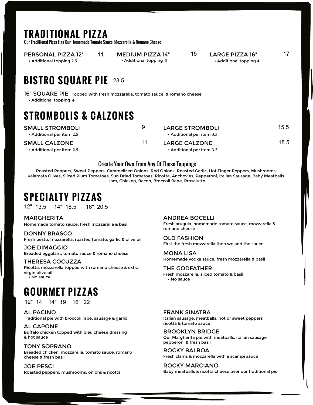## **TRADITIONAL PIZZA**

Our Traditional Pizza Has Our Homemade Tomato Sauce, Mozzarella & Romano Cheese

PERSONAL PIZZA 12" 11 • Additional topping **2.5**

MEDIUM PIZZA 14" 15 • Additional topping **3**

#### LARGE PIZZA 16"
17 • Additional topping **4**

**BISTRO SQUARE PIE** 23.5

16" SQUARE PIE Topped with fresh mozzarella, tomato sauce, & romano cheese • Additional topping **4**

# **STROMBOLIS & CALZONES**

SMALL CALZONE 11

SMALL STROMBOLI 9

• Additional per item **2.5**

• Additional per item **2.5**

| <b>LARGE STROMBOLI</b>    | 15.5 |
|---------------------------|------|
| • Additional per item 3.5 |      |
| <b>LARGE CALZONE</b>      | 18.5 |

• Additional per item **3.5**

#### Create Your Own From Any Of These Toppings

Roasted Peppers, Sweet Peppers, Caramelized Onions, Red Onions, Roasted Garlic, Hot Finger Peppers, Mushrooms Kalamata Olives, Sliced Plum Tomatoes, Sun Dried Tomatoes, Ricotta, Anchovies, Pepperoni, Italian Sausage, Baby Meatballs Ham, Chicken, Bacon, Broccoli Rabe, Prosciutto

# **SPECIALTY PIZZAS**

12" 13.5 14" 18.5 16" 20.5

MARGHERITA Homemade tomato sauce, fresh mozzarella & basil

DONNY BRASCO Fresh pesto, mozzarella, roasted tomato, garlic & olive oil

JOE DIMAGGIO Breaded eggplant, tomato sauce & romano cheese

• No sauce THERESA COCUZZA Ricotta, mozzarella topped with romano cheese & extra virgin olive oil

# **GOURMET PIZZAS**

12" 14 14" 19 16" 22

AL PACINO Traditional pie with broccoli rabe, sausage & garlic

AL CAPONE Buffalo chicken topped with bleu cheese dressing & hot sauce

TONY SOPRANO Breaded chicken, mozzarella, tomato sauce, romano cheese & fresh basil

JOE PESCI Roasted peppers, mushrooms, onions & ricotta ANDREA BOCELLI Fresh arugula, homemade tomato sauce, mozzarella &

romano cheese

OLD FASHION First the fresh mozzarella then we add the sauce

MONA LISA Homemade vodka sauce, fresh mozzarella & basil

THE GODFATHER Fresh mozzarella, sliced tomato & basil • No sauce

FRANK SINATRA Italian sausage, meatballs, hot or sweet peppers ricotta & tomato sauce

BROOKLYN BRIDGE Our Margherita pie with meatballs, italian sausage pepperoni & fresh basil

ROCKY BALBOA Fresh clams & mozzarella with a scampi sauce

ROCKY MARCIANO Baby meatballs & ricotta cheese over our traditional pie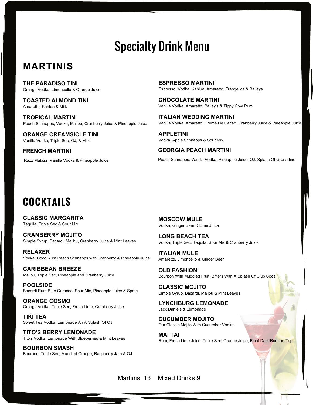# Specialty Drink Menu

## **MARTINIS**

**THE PARADISO TINI** Orange Vodka, Limoncello & Orange Juice

**TOASTED ALMOND TINI** Amaretto, Kahlua & Milk

**TROPICAL MARTINI** Peach Schnapps, Vodka, Malibu, Cranberry Juice & Pineapple Juice

**ORANGE CREAMSICLE TINI** Vanilla Vodka, Triple Sec, OJ, & Milk

**FRENCH MARTINI**

Razz Matazz, Vanilla Vodka & Pineapple Juice

**ESPRESSO MARTINI** Espresso, Vodka, Kahlua, Amaretto, Frangelica & Baileys

**CHOCOLATE MARTINI** Vanilla Vodka, Amaretto, Bailey's & Tippy Cow Rum

**ITALIAN WEDDING MARTINI** Vanilla Vodka, Amaretto, Creme De Cacao, Cranberry Juice & Pineapple Juice

**APPLETINI** Vodka, Apple Schnapps & Sour Mix

**GEORGIA PEACH MARTINI**

Peach Schnapps, Vanilla Vodka, Pineapple Juice, OJ, Splash Of Grenadine

# **COCKTAILS**

**CLASSIC MARGARITA** Tequila, Triple Sec & Sour Mix

**CRANBERRY MOJITO** Simple Syrup, Bacardi, Malibu, Cranberry Juice & Mint Leaves

**RELAXER** Vodka, Coco Rum,Peach Schnapps with Cranberry & Pineapple Juice

**CARIBBEAN BREEZE** Malibu, Triple Sec, Pineapple and Cranberry Juice

**POOLSIDE** Bacardi Rum,Blue Curacao, Sour Mix, Pineapple Juice & Sprite

**ORANGE COSMO** Orange Vodka, Triple Sec, Fresh Lime, Cranberry Juice

**TIKI TEA** Sweet Tea,Vodka, Lemonade An A Splash Of OJ

**TITO'S BERRY LEMONADE** Tito's Vodka, Lemonade With Blueberries & Mint Leaves

**BOURBON SMASH** Bourbon, Triple Sec, Muddled Orange, Raspberry Jam & OJ **MOSCOW MULE** Vodka, Ginger Beer & Lime Juice

**LONG BEACH TEA** Vodka, Triple Sec, Tequila, Sour Mix & Cranberry Juice

**ITALIAN MULE** Amaretto, Limoncello & Ginger Beer

**OLD FASHION**  Bourbon With Muddled Fruit, Bitters With A Splash Of Club Soda

**CLASSIC MOJITO** Simple Syrup, Bacardi, Malibu & Mint Leaves

**LYNCHBURG LEMONADE** Jack Daniels & Lemonade

**CUCUMBER MOJITO** Our Classic Mojito With Cucumber Vodka

**MAI TAI** Rum, Fresh Lime Juice, Triple Sec, Orange Juice, Float Dark Rum on Top

Martinis 13 Mixed Drinks 9